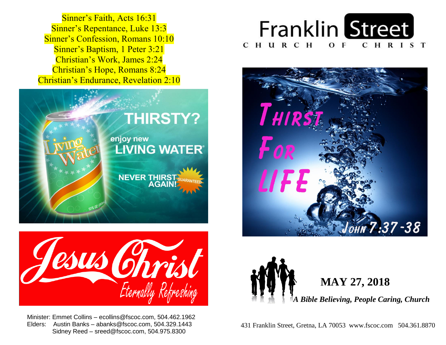**Sinner's Repentance, Luke 13:3 Sinner's Confession, Romans 10:10 Sinner's Baptism, 1 Peter 3:21**  Christian's Work, James 2:24  Christian's Hope, Romans 8:24  Christian's Endurance, Revelation 2:10 Sinner's Faith, Acts 16:31









 Minister: Emmet Collins – ecollins@fscoc.com, 504.462.1962  Elders: Austin Banks – abanks@fscoc.com, 504.329.1443 Sidney Reed – sreed@fscoc.com, 504.975.8300



 431 Franklin Street, Gretna, LA 70053 www.fscoc.com 504.361.8870